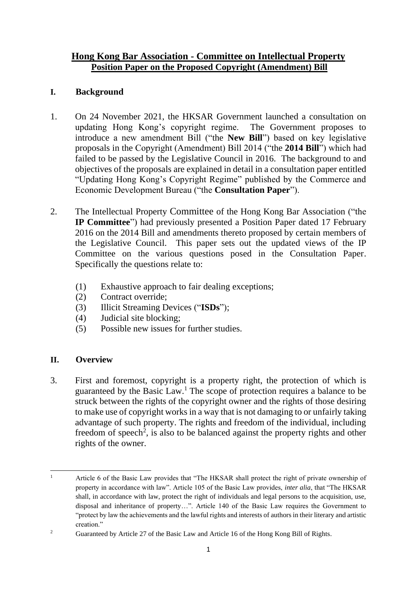## **Hong Kong Bar Association - Committee on Intellectual Property Position Paper on the Proposed Copyright (Amendment) Bill**

### **I. Background**

- 1. On 24 November 2021, the HKSAR Government launched a consultation on updating Hong Kong's copyright regime. The Government proposes to introduce a new amendment Bill ("the **New Bill**") based on key legislative proposals in the Copyright (Amendment) Bill 2014 ("the **2014 Bill**") which had failed to be passed by the Legislative Council in 2016. The background to and objectives of the proposals are explained in detail in a consultation paper entitled "Updating Hong Kong's Copyright Regime" published by the Commerce and Economic Development Bureau ("the **Consultation Paper**").
- 2. The Intellectual Property Committee of the Hong Kong Bar Association ("the **IP Committee**") had previously presented a Position Paper dated 17 February 2016 on the 2014 Bill and amendments thereto proposed by certain members of the Legislative Council. This paper sets out the updated views of the IP Committee on the various questions posed in the Consultation Paper. Specifically the questions relate to:
	- (1) Exhaustive approach to fair dealing exceptions;
	- (2) Contract override;
	- (3) Illicit Streaming Devices ("**ISDs**");
	- (4) Judicial site blocking;
	- (5) Possible new issues for further studies.

### **II. Overview**

3. First and foremost, copyright is a property right, the protection of which is guaranteed by the Basic Law.<sup>1</sup> The scope of protection requires a balance to be struck between the rights of the copyright owner and the rights of those desiring to make use of copyright works in a way that is not damaging to or unfairly taking advantage of such property. The rights and freedom of the individual, including freedom of speech<sup>2</sup>, is also to be balanced against the property rights and other rights of the owner.

<sup>&</sup>lt;sup>1</sup> Article 6 of the Basic Law provides that "The HKSAR shall protect the right of private ownership of property in accordance with law". Article 105 of the Basic Law provides, *inter alia*, that "The HKSAR shall, in accordance with law, protect the right of individuals and legal persons to the acquisition, use, disposal and inheritance of property…". Article 140 of the Basic Law requires the Government to "protect by law the achievements and the lawful rights and interests of authors in their literary and artistic creation."

<sup>&</sup>lt;sup>2</sup> Guaranteed by Article 27 of the Basic Law and Article 16 of the Hong Kong Bill of Rights.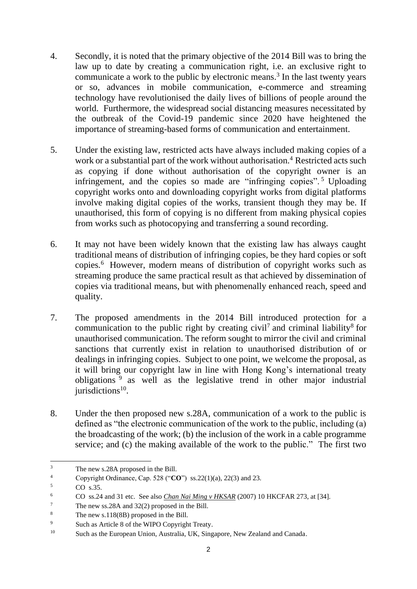- 4. Secondly, it is noted that the primary objective of the 2014 Bill was to bring the law up to date by creating a communication right, i.e. an exclusive right to communicate a work to the public by electronic means. 3 In the last twenty years or so, advances in mobile communication, e-commerce and streaming technology have revolutionised the daily lives of billions of people around the world. Furthermore, the widespread social distancing measures necessitated by the outbreak of the Covid-19 pandemic since 2020 have heightened the importance of streaming-based forms of communication and entertainment.
- 5. Under the existing law, restricted acts have always included making copies of a work or a substantial part of the work without authorisation.<sup>4</sup> Restricted acts such as copying if done without authorisation of the copyright owner is an infringement, and the copies so made are "infringing copies". <sup>5</sup> Uploading copyright works onto and downloading copyright works from digital platforms involve making digital copies of the works, transient though they may be. If unauthorised, this form of copying is no different from making physical copies from works such as photocopying and transferring a sound recording.
- 6. It may not have been widely known that the existing law has always caught traditional means of distribution of infringing copies, be they hard copies or soft copies. 6 However, modern means of distribution of copyright works such as streaming produce the same practical result as that achieved by dissemination of copies via traditional means, but with phenomenally enhanced reach, speed and quality.
- 7. The proposed amendments in the 2014 Bill introduced protection for a communication to the public right by creating civil<sup>7</sup> and criminal liability<sup>8</sup> for unauthorised communication. The reform sought to mirror the civil and criminal sanctions that currently exist in relation to unauthorised distribution of or dealings in infringing copies. Subject to one point, we welcome the proposal, as it will bring our copyright law in line with Hong Kong's international treaty obligations <sup>9</sup> as well as the legislative trend in other major industrial jurisdictions<sup>10</sup>.
- 8. Under the then proposed new s.28A, communication of a work to the public is defined as "the electronic communication of the work to the public, including (a) the broadcasting of the work; (b) the inclusion of the work in a cable programme service; and (c) the making available of the work to the public." The first two

 $3 \t\t\t The new s.28A proposed in the Bill.$ <br>4 Convright Ordinance Cap 528 ("CI

<sup>&</sup>lt;sup>4</sup> Copyright Ordinance, Cap. 528 ("**CO**") ss.22(1)(a), 22(3) and 23.

 $CO$  s.35.

<sup>6</sup> CO ss.24 and 31 etc. See also *Chan Nai Ming v HKSAR* (2007) 10 HKCFAR 273, at [34].

<sup>7</sup> The new ss.28A and 32(2) proposed in the Bill.

<sup>&</sup>lt;sup>8</sup> The new s.118(8B) proposed in the Bill.

<sup>9</sup> Such as Article 8 of the WIPO Copyright Treaty.

<sup>10</sup> Such as the European Union, Australia, UK, Singapore, New Zealand and Canada.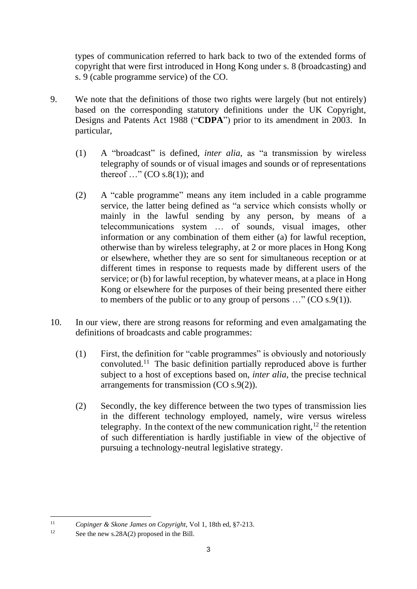types of communication referred to hark back to two of the extended forms of copyright that were first introduced in Hong Kong under s. 8 (broadcasting) and s. 9 (cable programme service) of the CO.

- 9. We note that the definitions of those two rights were largely (but not entirely) based on the corresponding statutory definitions under the UK Copyright, Designs and Patents Act 1988 ("**CDPA**") prior to its amendment in 2003. In particular,
	- (1) A "broadcast" is defined, *inter alia*, as "a transmission by wireless telegraphy of sounds or of visual images and sounds or of representations thereof  $\ldots$ " (CO s.8(1)); and
	- (2) A "cable programme" means any item included in a cable programme service, the latter being defined as "a service which consists wholly or mainly in the lawful sending by any person, by means of a telecommunications system … of sounds, visual images, other information or any combination of them either (a) for lawful reception, otherwise than by wireless telegraphy, at 2 or more places in Hong Kong or elsewhere, whether they are so sent for simultaneous reception or at different times in response to requests made by different users of the service; or (b) for lawful reception, by whatever means, at a place in Hong Kong or elsewhere for the purposes of their being presented there either to members of the public or to any group of persons  $\ldots$ " (CO s.9(1)).
- 10. In our view, there are strong reasons for reforming and even amalgamating the definitions of broadcasts and cable programmes:
	- (1) First, the definition for "cable programmes" is obviously and notoriously convoluted. 11 The basic definition partially reproduced above is further subject to a host of exceptions based on, *inter alia*, the precise technical arrangements for transmission (CO s.9(2)).
	- (2) Secondly, the key difference between the two types of transmission lies in the different technology employed, namely, wire versus wireless telegraphy. In the context of the new communication right, $12$  the retention of such differentiation is hardly justifiable in view of the objective of pursuing a technology-neutral legislative strategy.

<sup>11</sup> *Copinger & Skone James on Copyright*, Vol 1, 18th ed, §7-213.

<sup>&</sup>lt;sup>12</sup> See the new s.28A(2) proposed in the Bill.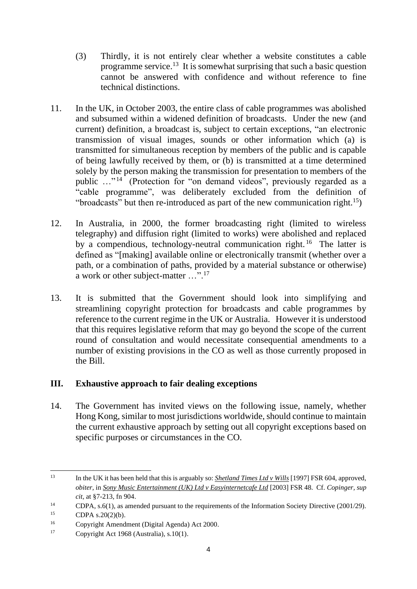- (3) Thirdly, it is not entirely clear whether a website constitutes a cable programme service.<sup>13</sup> It is somewhat surprising that such a basic question cannot be answered with confidence and without reference to fine technical distinctions.
- 11. In the UK, in October 2003, the entire class of cable programmes was abolished and subsumed within a widened definition of broadcasts. Under the new (and current) definition, a broadcast is, subject to certain exceptions, "an electronic transmission of visual images, sounds or other information which (a) is transmitted for simultaneous reception by members of the public and is capable of being lawfully received by them, or (b) is transmitted at a time determined solely by the person making the transmission for presentation to members of the public ..."<sup>14</sup> (Protection for "on demand videos", previously regarded as a "cable programme", was deliberately excluded from the definition of "broadcasts" but then re-introduced as part of the new communication right.<sup>15</sup>)
- 12. In Australia, in 2000, the former broadcasting right (limited to wireless telegraphy) and diffusion right (limited to works) were abolished and replaced by a compendious, technology-neutral communication right.<sup>16</sup> The latter is defined as "[making] available online or electronically transmit (whether over a path, or a combination of paths, provided by a material substance or otherwise) a work or other subject-matter …".<sup>17</sup>
- 13. It is submitted that the Government should look into simplifying and streamlining copyright protection for broadcasts and cable programmes by reference to the current regime in the UK or Australia. However it is understood that this requires legislative reform that may go beyond the scope of the current round of consultation and would necessitate consequential amendments to a number of existing provisions in the CO as well as those currently proposed in the Bill.

# **III. Exhaustive approach to fair dealing exceptions**

14. The Government has invited views on the following issue, namely, whether Hong Kong, similar to most jurisdictions worldwide, should continue to maintain the current exhaustive approach by setting out all copyright exceptions based on specific purposes or circumstances in the CO.

<sup>13</sup> In the UK it has been held that this is arguably so: *Shetland Times Ltd v Wills* [1997] FSR 604, approved, *obiter,* in *Sony Music Entertainment (UK) Ltd v Easyinternetcafe Ltd* [2003] FSR 48. Cf. *Copinger, sup cit,* at §7-213, fn 904.

<sup>&</sup>lt;sup>14</sup> CDPA, s.6(1), as amended pursuant to the requirements of the Information Society Directive (2001/29).

 $15$  CDPA s.20(2)(b).

<sup>16</sup> Copyright Amendment (Digital Agenda) Act 2000.

<sup>&</sup>lt;sup>17</sup> Copyright Act 1968 (Australia), s.10(1).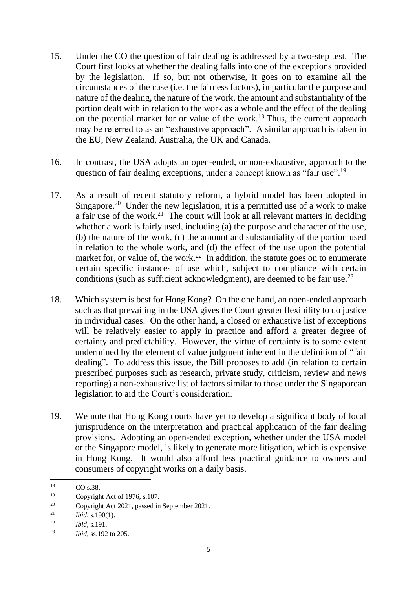- 15. Under the CO the question of fair dealing is addressed by a two-step test. The Court first looks at whether the dealing falls into one of the exceptions provided by the legislation. If so, but not otherwise, it goes on to examine all the circumstances of the case (i.e. the fairness factors), in particular the purpose and nature of the dealing, the nature of the work, the amount and substantiality of the portion dealt with in relation to the work as a whole and the effect of the dealing on the potential market for or value of the work.<sup>18</sup> Thus, the current approach may be referred to as an "exhaustive approach". A similar approach is taken in the EU, New Zealand, Australia, the UK and Canada.
- 16. In contrast, the USA adopts an open-ended, or non-exhaustive, approach to the question of fair dealing exceptions, under a concept known as "fair use".<sup>19</sup>
- 17. As a result of recent statutory reform, a hybrid model has been adopted in Singapore.<sup>20</sup> Under the new legislation, it is a permitted use of a work to make a fair use of the work.<sup>21</sup> The court will look at all relevant matters in deciding whether a work is fairly used, including (a) the purpose and character of the use, (b) the nature of the work, (c) the amount and substantiality of the portion used in relation to the whole work, and (d) the effect of the use upon the potential market for, or value of, the work.<sup>22</sup> In addition, the statute goes on to enumerate certain specific instances of use which, subject to compliance with certain conditions (such as sufficient acknowledgment), are deemed to be fair use.<sup>23</sup>
- 18. Which system is best for Hong Kong? On the one hand, an open-ended approach such as that prevailing in the USA gives the Court greater flexibility to do justice in individual cases. On the other hand, a closed or exhaustive list of exceptions will be relatively easier to apply in practice and afford a greater degree of certainty and predictability. However, the virtue of certainty is to some extent undermined by the element of value judgment inherent in the definition of "fair dealing". To address this issue, the Bill proposes to add (in relation to certain prescribed purposes such as research, private study, criticism, review and news reporting) a non-exhaustive list of factors similar to those under the Singaporean legislation to aid the Court's consideration.
- 19. We note that Hong Kong courts have yet to develop a significant body of local jurisprudence on the interpretation and practical application of the fair dealing provisions. Adopting an open-ended exception, whether under the USA model or the Singapore model, is likely to generate more litigation, which is expensive in Hong Kong. It would also afford less practical guidance to owners and consumers of copyright works on a daily basis.

 $^{18}$  CO s.38.

<sup>19</sup> Copyright Act of 1976, s.107.

<sup>20</sup> Copyright Act 2021, passed in September 2021.

<sup>21</sup> *Ibid*, s.190(1).

<sup>22</sup> *Ibid*, s.191.

<sup>23</sup> *Ibid*, ss.192 to 205.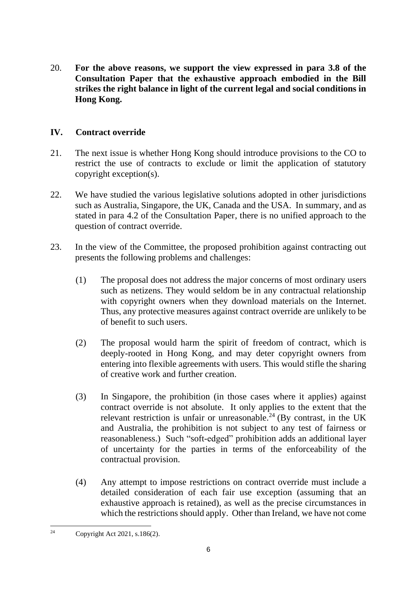20. **For the above reasons, we support the view expressed in para 3.8 of the Consultation Paper that the exhaustive approach embodied in the Bill strikes the right balance in light of the current legal and social conditions in Hong Kong.**

## **IV. Contract override**

- 21. The next issue is whether Hong Kong should introduce provisions to the CO to restrict the use of contracts to exclude or limit the application of statutory copyright exception(s).
- 22. We have studied the various legislative solutions adopted in other jurisdictions such as Australia, Singapore, the UK, Canada and the USA. In summary, and as stated in para 4.2 of the Consultation Paper, there is no unified approach to the question of contract override.
- 23. In the view of the Committee, the proposed prohibition against contracting out presents the following problems and challenges:
	- (1) The proposal does not address the major concerns of most ordinary users such as netizens. They would seldom be in any contractual relationship with copyright owners when they download materials on the Internet. Thus, any protective measures against contract override are unlikely to be of benefit to such users.
	- (2) The proposal would harm the spirit of freedom of contract, which is deeply-rooted in Hong Kong, and may deter copyright owners from entering into flexible agreements with users. This would stifle the sharing of creative work and further creation.
	- (3) In Singapore, the prohibition (in those cases where it applies) against contract override is not absolute. It only applies to the extent that the relevant restriction is unfair or unreasonable.<sup>24</sup> (By contrast, in the UK and Australia, the prohibition is not subject to any test of fairness or reasonableness.) Such "soft-edged" prohibition adds an additional layer of uncertainty for the parties in terms of the enforceability of the contractual provision.
	- (4) Any attempt to impose restrictions on contract override must include a detailed consideration of each fair use exception (assuming that an exhaustive approach is retained), as well as the precise circumstances in which the restrictions should apply. Other than Ireland, we have not come

<sup>24</sup> Copyright Act 2021, s.186(2).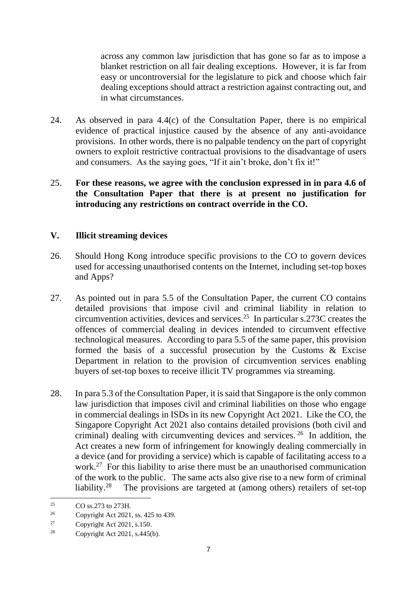across any common law jurisdiction that has gone so far as to impose a blanket restriction on all fair dealing exceptions. However, it is far from easy or uncontroversial for the legislature to pick and choose which fair dealing exceptions should attract a restriction against contracting out, and in what circumstances.

- 24. As observed in para 4.4(c) of the Consultation Paper, there is no empirical evidence of practical injustice caused by the absence of any anti-avoidance provisions. In other words, there is no palpable tendency on the part of copyright owners to exploit restrictive contractual provisions to the disadvantage of users and consumers. As the saying goes, "If it ain't broke, don't fix it!"
- 25. **For these reasons, we agree with the conclusion expressed in in para 4.6 of the Consultation Paper that there is at present no justification for introducing any restrictions on contract override in the CO.**

### **V. Illicit streaming devices**

- 26. Should Hong Kong introduce specific provisions to the CO to govern devices used for accessing unauthorised contents on the Internet, including set-top boxes and Apps?
- 27. As pointed out in para 5.5 of the Consultation Paper, the current CO contains detailed provisions that impose civil and criminal liability in relation to circumvention activities, devices and services.<sup>25</sup> In particular s.273C creates the offences of commercial dealing in devices intended to circumvent effective technological measures. According to para 5.5 of the same paper, this provision formed the basis of a successful prosecution by the Customs & Excise Department in relation to the provision of circumvention services enabling buyers of set-top boxes to receive illicit TV programmes via streaming.
- 28. In para 5.3 of the Consultation Paper, it is said that Singapore is the only common law jurisdiction that imposes civil and criminal liabilities on those who engage in commercial dealings in ISDs in its new Copyright Act 2021. Like the CO, the Singapore Copyright Act 2021 also contains detailed provisions (both civil and criminal) dealing with circumventing devices and services. <sup>26</sup> In addition, the Act creates a new form of infringement for knowingly dealing commercially in a device (and for providing a service) which is capable of facilitating access to a work.<sup>27</sup> For this liability to arise there must be an unauthorised communication of the work to the public. The same acts also give rise to a new form of criminal liability.<sup>28</sup> The provisions are targeted at (among others) retailers of set-top

<sup>25</sup> CO ss.273 to 273H.

<sup>26</sup> Copyright Act 2021, ss. 425 to 439.

<sup>&</sup>lt;sup>27</sup> Copyright Act 2021, s.150.

<sup>&</sup>lt;sup>28</sup> Copyright Act 2021, s.445(b).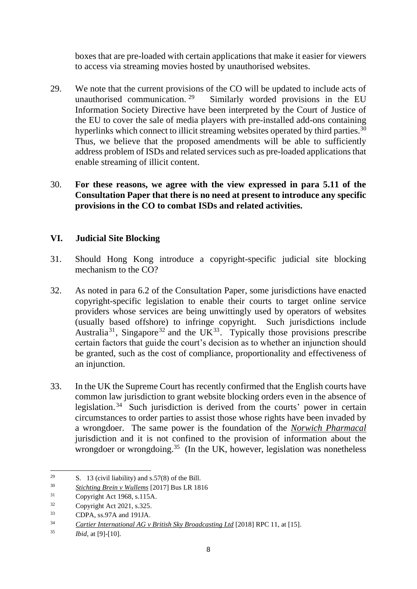boxes that are pre-loaded with certain applications that make it easier for viewers to access via streaming movies hosted by unauthorised websites.

- 29. We note that the current provisions of the CO will be updated to include acts of unauthorised communication. <sup>29</sup> Similarly worded provisions in the EU Information Society Directive have been interpreted by the Court of Justice of the EU to cover the sale of media players with pre-installed add-ons containing hyperlinks which connect to illicit streaming websites operated by third parties.<sup>30</sup> Thus, we believe that the proposed amendments will be able to sufficiently address problem of ISDs and related services such as pre-loaded applications that enable streaming of illicit content.
- 30. **For these reasons, we agree with the view expressed in para 5.11 of the Consultation Paper that there is no need at present to introduce any specific provisions in the CO to combat ISDs and related activities.**

## **VI. Judicial Site Blocking**

- 31. Should Hong Kong introduce a copyright-specific judicial site blocking mechanism to the CO?
- 32. As noted in para 6.2 of the Consultation Paper, some jurisdictions have enacted copyright-specific legislation to enable their courts to target online service providers whose services are being unwittingly used by operators of websites (usually based offshore) to infringe copyright. Such jurisdictions include Australia<sup>31</sup>, Singapore<sup>32</sup> and the UK<sup>33</sup>. Typically those provisions prescribe certain factors that guide the court's decision as to whether an injunction should be granted, such as the cost of compliance, proportionality and effectiveness of an injunction.
- 33. In the UK the Supreme Court has recently confirmed that the English courts have common law jurisdiction to grant website blocking orders even in the absence of legislation.<sup>34</sup> Such jurisdiction is derived from the courts' power in certain circumstances to order parties to assist those whose rights have been invaded by a wrongdoer. The same power is the foundation of the *Norwich Pharmacal* jurisdiction and it is not confined to the provision of information about the wrongdoer or wrongdoing.<sup>35</sup> (In the UK, however, legislation was nonetheless

<sup>&</sup>lt;sup>29</sup> S. 13 (civil liability) and s.57(8) of the Bill.

<sup>30</sup> *Stichting Brein v Wullems* [2017] Bus LR 1816

<sup>31</sup> Copyright Act 1968, s.115A.

<sup>32</sup> Copyright Act 2021, s.325.

<sup>33</sup> CDPA, ss.97A and 191JA.

<sup>34</sup> *Cartier International AG v British Sky Broadcasting Ltd* [2018] RPC 11, at [15].

<sup>35</sup> *Ibid*, at [9]-[10].